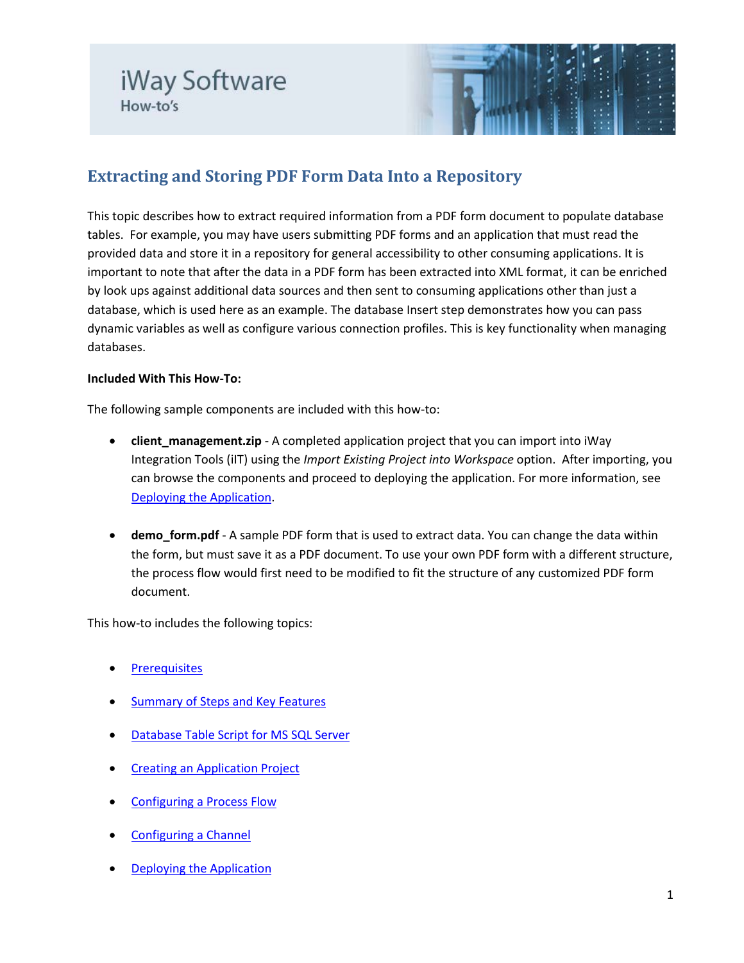

# **Extracting and Storing PDF Form Data Into a Repository**

This topic describes how to extract required information from a PDF form document to populate database tables. For example, you may have users submitting PDF forms and an application that must read the provided data and store it in a repository for general accessibility to other consuming applications. It is important to note that after the data in a PDF form has been extracted into XML format, it can be enriched by look ups against additional data sources and then sent to consuming applications other than just a database, which is used here as an example. The database Insert step demonstrates how you can pass dynamic variables as well as configure various connection profiles. This is key functionality when managing databases.

#### **Included With This How-To:**

The following sample components are included with this how-to:

- **client\_management.zip** A completed application project that you can import into iWay Integration Tools (iIT) using the *Import Existing Project into Workspace* option. After importing, you can browse the components and proceed to deploying the application. For more information, see [Deploying the Application.](#page-15-0)
- **demo\_form.pdf** A sample PDF form that is used to extract data. You can change the data within the form, but must save it as a PDF document. To use your own PDF form with a different structure, the process flow would first need to be modified to fit the structure of any customized PDF form document.

This how-to includes the following topics:

- **[Prerequisites](#page-1-0)**
- **[Summary of Steps and Key Features](#page-1-1)**
- [Database Table Script for MS SQL Server](#page-2-0)
- [Creating an Application Project](#page-2-1)
- [Configuring a Process Flow](#page-4-0)
- [Configuring a Channel](#page-10-0)
- **[Deploying the Application](#page-15-0)**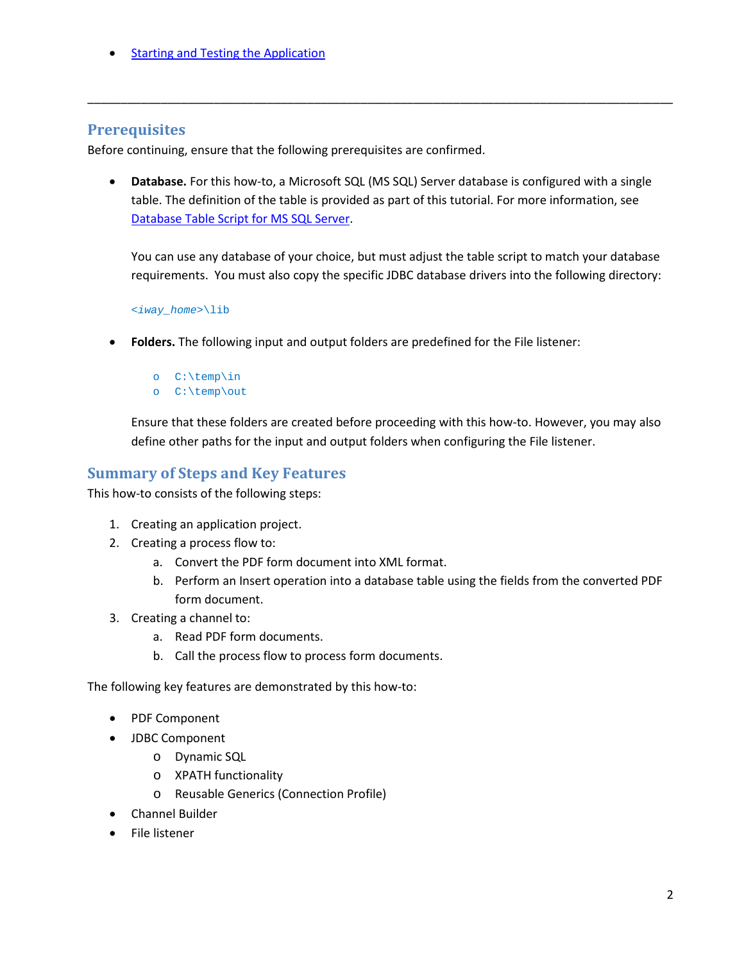**[Starting and Testing the Application](#page-18-0)** 

#### <span id="page-1-0"></span>**Prerequisites**

Before continuing, ensure that the following prerequisites are confirmed.

• **Database.** For this how-to, a Microsoft SQL (MS SQL) Server database is configured with a single table. The definition of the table is provided as part of this tutorial. For more information, see [Database Table Script for MS SQL Server.](#page-2-0)

\_\_\_\_\_\_\_\_\_\_\_\_\_\_\_\_\_\_\_\_\_\_\_\_\_\_\_\_\_\_\_\_\_\_\_\_\_\_\_\_\_\_\_\_\_\_\_\_\_\_\_\_\_\_\_\_\_\_\_\_\_\_\_\_\_\_\_\_\_\_\_\_\_\_\_\_\_\_\_\_\_\_\_\_\_\_\_\_

You can use any database of your choice, but must adjust the table script to match your database requirements. You must also copy the specific JDBC database drivers into the following directory:

*<iway\_home>*\lib

- **Folders.** The following input and output folders are predefined for the File listener:
	- o C:\temp\in
	- o C:\temp\out

Ensure that these folders are created before proceeding with this how-to. However, you may also define other paths for the input and output folders when configuring the File listener.

#### <span id="page-1-1"></span>**Summary of Steps and Key Features**

This how-to consists of the following steps:

- 1. Creating an application project.
- 2. Creating a process flow to:
	- a. Convert the PDF form document into XML format.
	- b. Perform an Insert operation into a database table using the fields from the converted PDF form document.
- 3. Creating a channel to:
	- a. Read PDF form documents.
	- b. Call the process flow to process form documents.

The following key features are demonstrated by this how-to:

- PDF Component
- JDBC Component
	- o Dynamic SQL
	- o XPATH functionality
	- o Reusable Generics (Connection Profile)
- Channel Builder
- File listener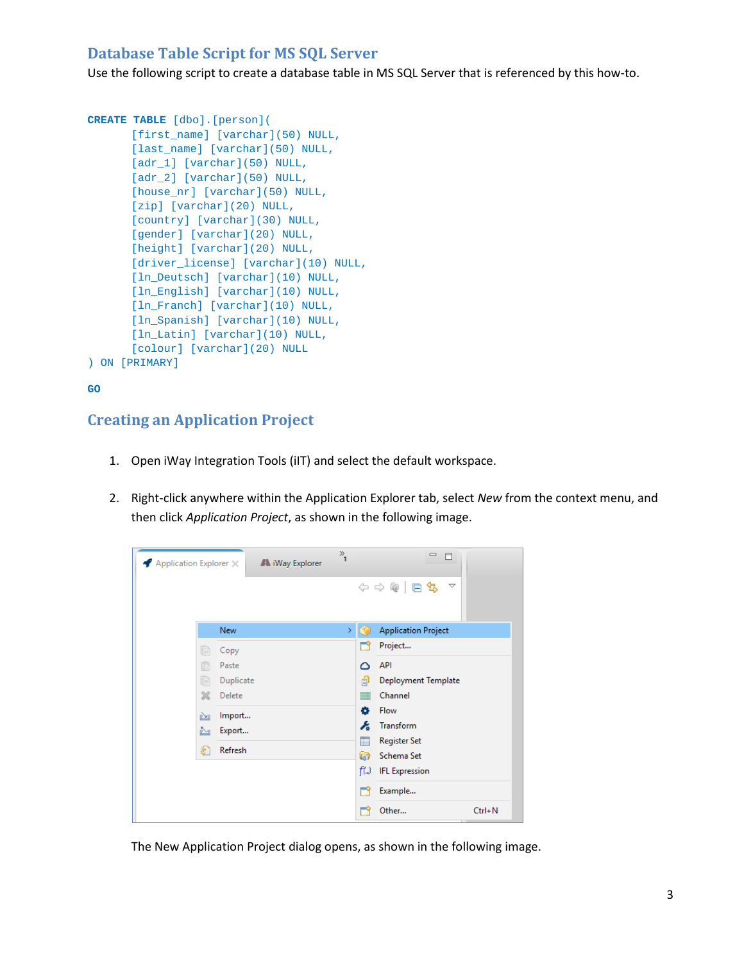## <span id="page-2-0"></span>**Database Table Script for MS SQL Server**

Use the following script to create a database table in MS SQL Server that is referenced by this how-to.

```
CREATE TABLE [dbo].[person](
      [first_name] [varchar](50) NULL,
      [last_name] [varchar](50) NULL,
      [adr_1] [varchar](50) NULL,
      [adr_2] [varchar](50) NULL,
      [house_nr] [varchar](50) NULL,
      [zip] [varchar](20) NULL,
      [country] [varchar](30) NULL,
      [gender] [varchar](20) NULL,
      [height] [varchar](20) NULL,
      [driver license] [varchar](10) NULL,
      [ln_Deutsch] [varchar](10) NULL,
      [ln_English] [varchar](10) NULL,
      [ln_Franch] [varchar](10) NULL,
      [ln_Spanish] [varchar](10) NULL,
      [ln_Latin] [varchar](10) NULL,
      [colour] [varchar](20) NULL
) ON [PRIMARY]
```
#### **GO**

## <span id="page-2-1"></span>**Creating an Application Project**

- 1. Open iWay Integration Tools (iIT) and select the default workspace.
- 2. Right-click anywhere within the Application Explorer tab, select *New* from the context menu, and then click *Application Project*, as shown in the following image.



The New Application Project dialog opens, as shown in the following image.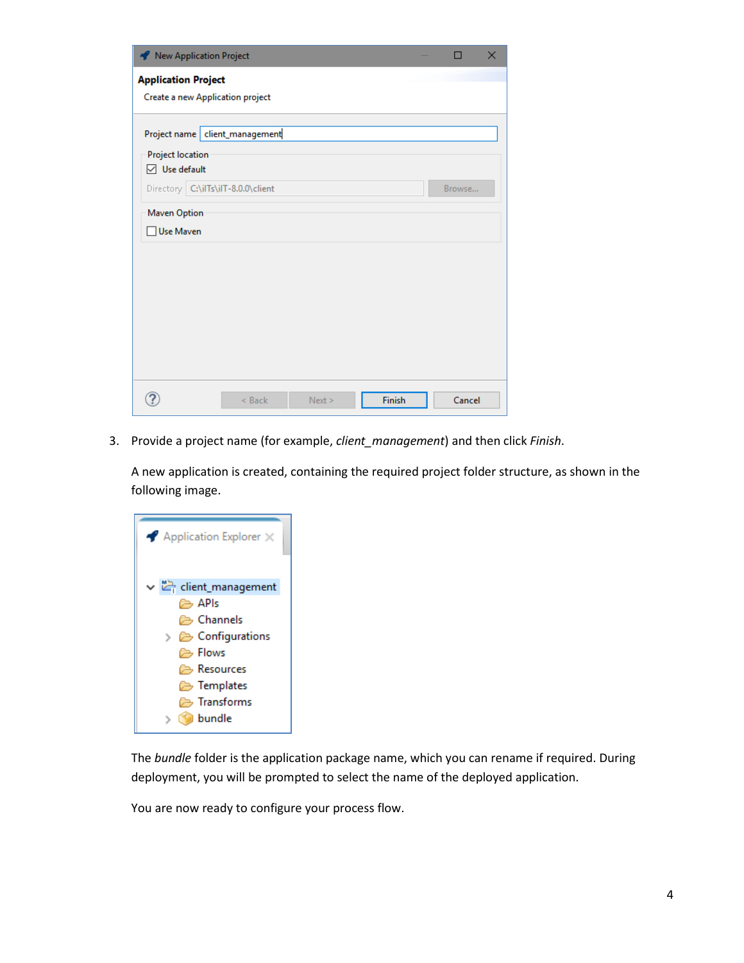| New Application Project                                                                                                                                   |          |        |        | $\times$ |
|-----------------------------------------------------------------------------------------------------------------------------------------------------------|----------|--------|--------|----------|
| <b>Application Project</b><br>Create a new Application project                                                                                            |          |        |        |          |
| Project name   client_management<br><b>Project location</b><br>$\boxdot$ Use default<br>Directory C:\ilTs\ilT-8.0.0\client<br>Maven Option<br>□ Use Maven |          |        |        | Browse   |
|                                                                                                                                                           | $<$ Back | Next > | Finish | Cancel   |

3. Provide a project name (for example, *client\_management*) and then click *Finish*.

A new application is created, containing the required project folder structure, as shown in the following image.

| Application Explorer X                                                                                                                                             |
|--------------------------------------------------------------------------------------------------------------------------------------------------------------------|
| v elient_management<br>r⇒ APIs<br><b>Channels</b><br>$\geq$ $\geq$ Configurations<br>ে Flows<br>A Resources<br>Femplates<br><b>B</b> Transforms<br><b>D</b> bundle |

The *bundle* folder is the application package name, which you can rename if required. During deployment, you will be prompted to select the name of the deployed application.

You are now ready to configure your process flow.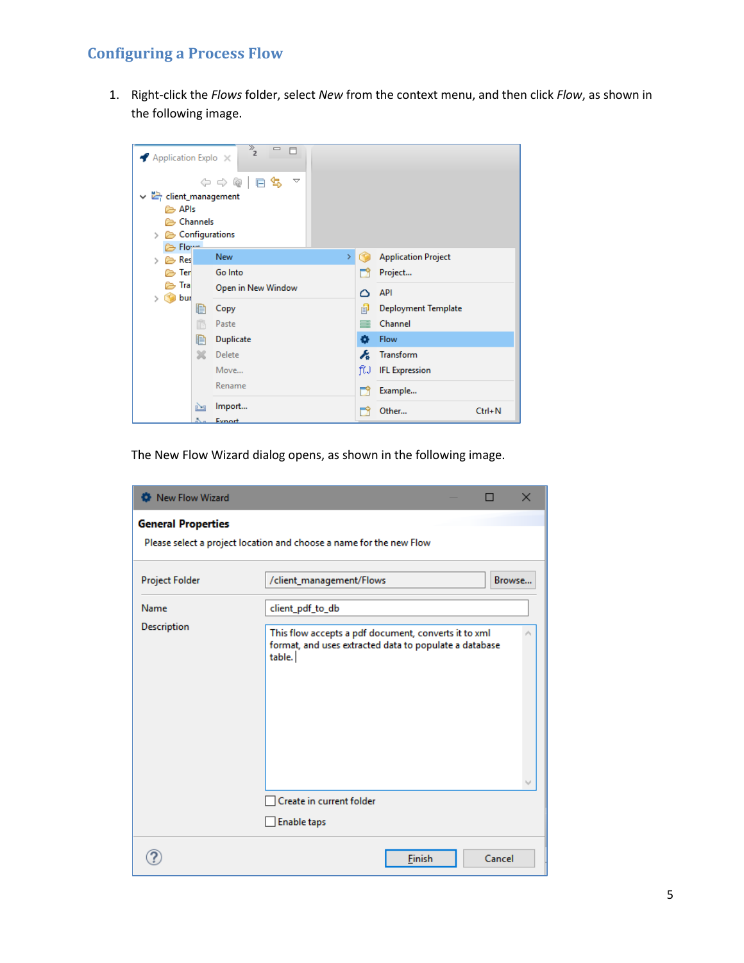#### <span id="page-4-0"></span>**Configuring a Process Flow**

1. Right-click the *Flows* folder, select *New* from the context menu, and then click *Flow*, as shown in the following image.



The New Flow Wizard dialog opens, as shown in the following image.

| New Flow Wizard           | ×                                                                                                                                                                        |
|---------------------------|--------------------------------------------------------------------------------------------------------------------------------------------------------------------------|
| <b>General Properties</b> | Please select a project location and choose a name for the new Flow                                                                                                      |
| <b>Project Folder</b>     | /client_management/Flows<br>Browse                                                                                                                                       |
| Name<br>Description       | client_pdf_to_db<br>This flow accepts a pdf document, converts it to xml<br>format, and uses extracted data to populate a database<br>table.<br>Create in current folder |
|                           | <b>Enable taps</b><br><b>Finish</b><br>Cancel                                                                                                                            |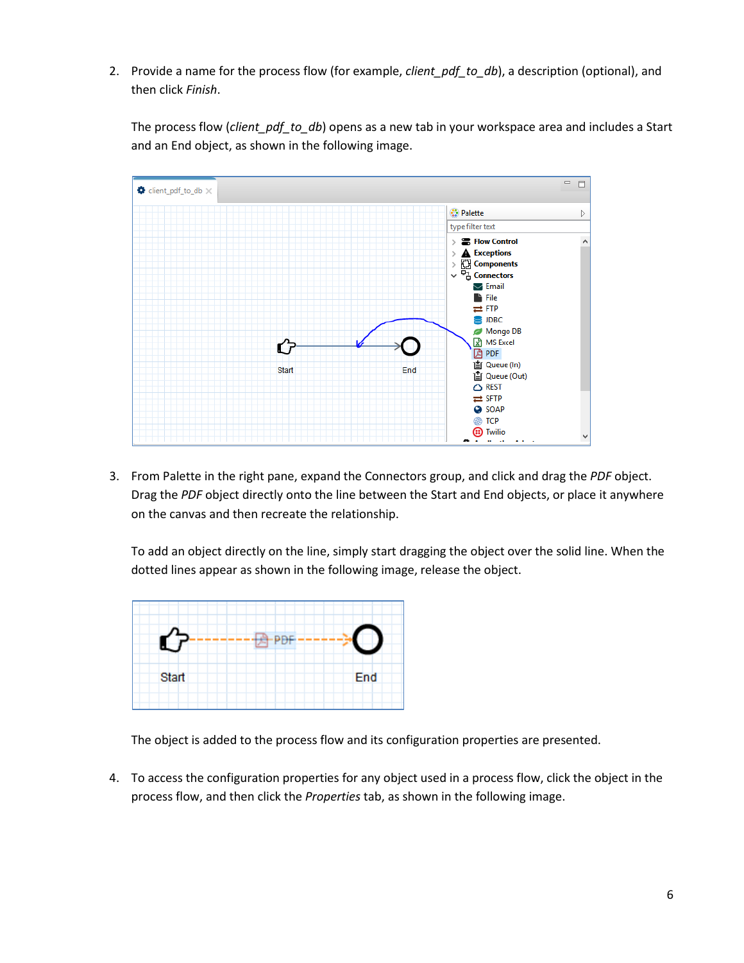2. Provide a name for the process flow (for example, *client\_pdf\_to\_db*), a description (optional), and then click *Finish*.

The process flow (*client\_pdf\_to\_db*) opens as a new tab in your workspace area and includes a Start and an End object, as shown in the following image.



3. From Palette in the right pane, expand the Connectors group, and click and drag the *PDF* object. Drag the *PDF* object directly onto the line between the Start and End objects, or place it anywhere on the canvas and then recreate the relationship.

To add an object directly on the line, simply start dragging the object over the solid line. When the dotted lines appear as shown in the following image, release the object.



The object is added to the process flow and its configuration properties are presented.

4. To access the configuration properties for any object used in a process flow, click the object in the process flow, and then click the *Properties* tab, as shown in the following image.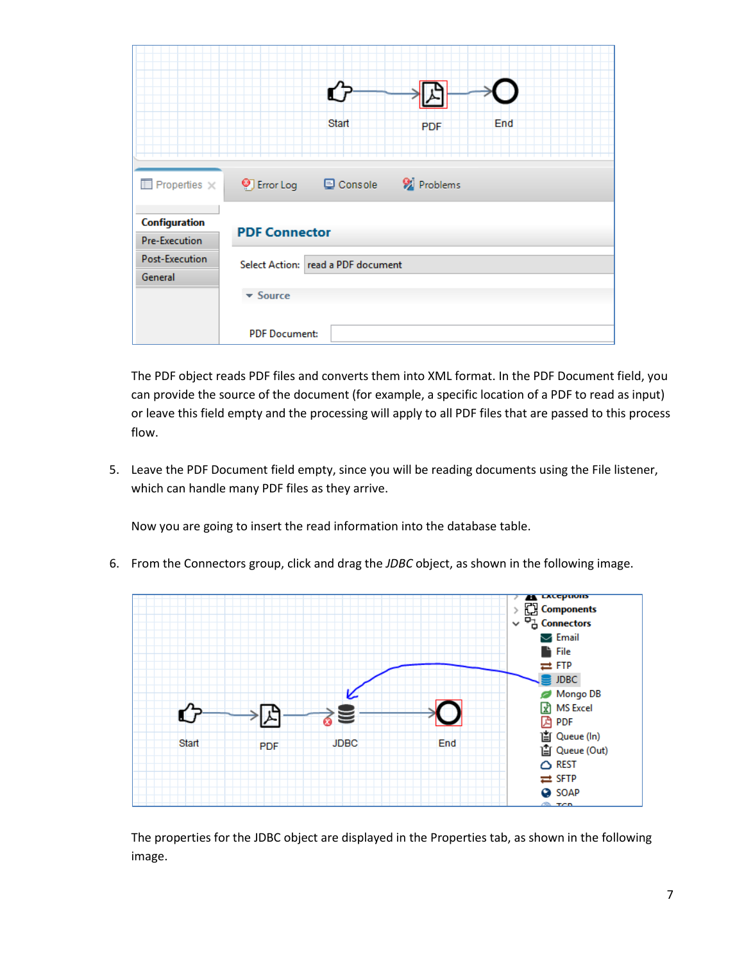|                                                                                  | Start<br>End<br><b>PDF</b>                                                                 |
|----------------------------------------------------------------------------------|--------------------------------------------------------------------------------------------|
| $\overline{\mathbb{E}}$ Properties $\times$                                      | ◎ Error Log □ Console ■ Problems                                                           |
| <b>Configuration</b><br><b>Pre-Execution</b><br><b>Post-Execution</b><br>General | <b>PDF Connector</b><br>Select Action: read a PDF document<br>$\blacktriangleright$ Source |
|                                                                                  | <b>PDF Document:</b>                                                                       |

The PDF object reads PDF files and converts them into XML format. In the PDF Document field, you can provide the source of the document (for example, a specific location of a PDF to read as input) or leave this field empty and the processing will apply to all PDF files that are passed to this process flow.

5. Leave the PDF Document field empty, since you will be reading documents using the File listener, which can handle many PDF files as they arrive.

Now you are going to insert the read information into the database table.

6. From the Connectors group, click and drag the *JDBC* object, as shown in the following image.



The properties for the JDBC object are displayed in the Properties tab, as shown in the following image.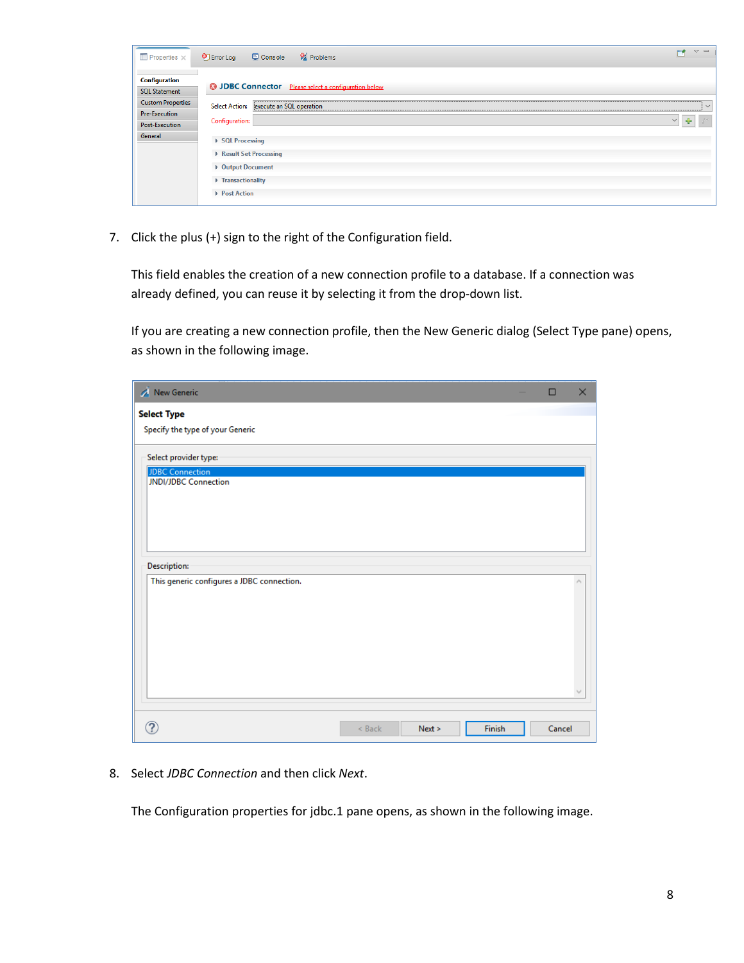| $\blacksquare$ Properties $\times$                                       | <b>Problems</b><br>Console<br><sup>1</sup> Error Log        | $\triangledown$ $=$    |
|--------------------------------------------------------------------------|-------------------------------------------------------------|------------------------|
| <b>Configuration</b><br><b>SQL Statement</b><br><b>Custom Properties</b> | <b>@ JDBC Connector</b> Please select a configuration below |                        |
| <b>Pre-Execution</b><br>Post-Execution<br>General                        | Select Action: execute an SQL operation<br>Configuration:   | $\checkmark$<br>$\vee$ |
|                                                                          | ▶ SQL Processing<br>Result Set Processing                   |                        |
|                                                                          | ▶ Output Document<br>> Transactionality<br>▶ Post Action    |                        |

7. Click the plus (+) sign to the right of the Configuration field.

This field enables the creation of a new connection profile to a database. If a connection was already defined, you can reuse it by selecting it from the drop-down list.

If you are creating a new connection profile, then the New Generic dialog (Select Type pane) opens, as shown in the following image.

| New Generic                                           |        | $\Box$ | $\times$ |
|-------------------------------------------------------|--------|--------|----------|
| <b>Select Type</b>                                    |        |        |          |
| Specify the type of your Generic                      |        |        |          |
|                                                       |        |        |          |
| Select provider type:                                 |        |        |          |
| <b>JDBC Connection</b><br><b>JNDI/JDBC Connection</b> |        |        |          |
|                                                       |        |        |          |
|                                                       |        |        |          |
|                                                       |        |        |          |
|                                                       |        |        |          |
| Description:                                          |        |        |          |
| This generic configures a JDBC connection.            |        |        | ٨        |
|                                                       |        |        |          |
|                                                       |        |        |          |
|                                                       |        |        |          |
|                                                       |        |        |          |
|                                                       |        |        |          |
|                                                       |        |        |          |
|                                                       |        |        |          |
| $<$ Back<br>Next >                                    | Finish | Cancel |          |

8. Select *JDBC Connection* and then click *Next*.

The Configuration properties for jdbc.1 pane opens, as shown in the following image.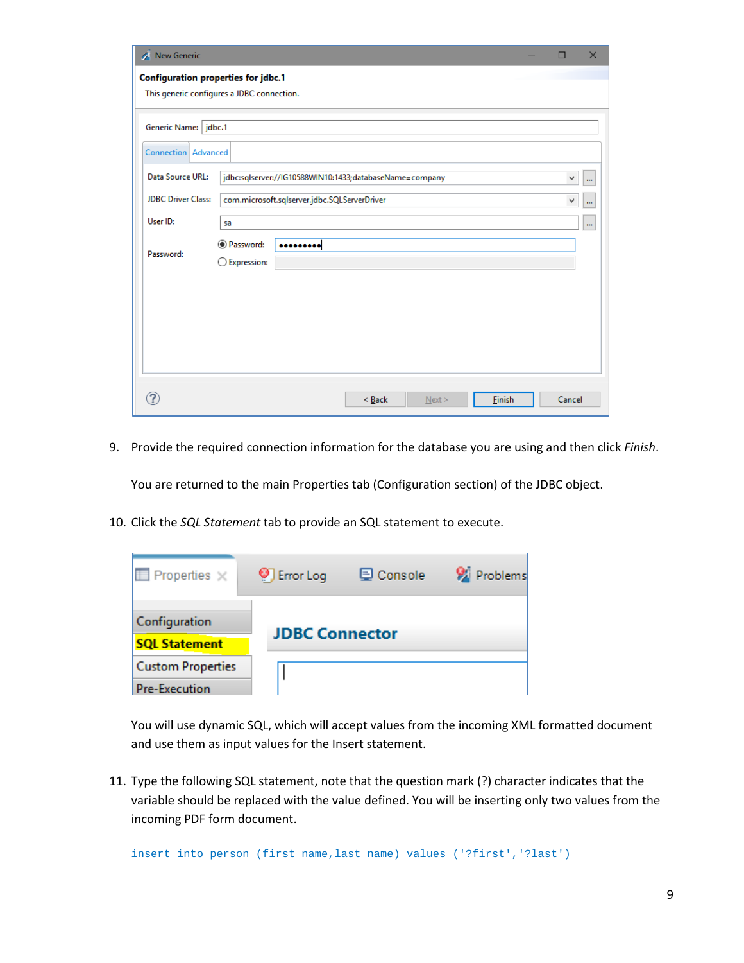| New Generic                                |                        |                                                         |          |        |        | $\Box$ | $\times$     |
|--------------------------------------------|------------------------|---------------------------------------------------------|----------|--------|--------|--------|--------------|
| <b>Configuration properties for jdbc.1</b> |                        |                                                         |          |        |        |        |              |
| This generic configures a JDBC connection. |                        |                                                         |          |        |        |        |              |
|                                            |                        |                                                         |          |        |        |        |              |
| Generic Name: jdbc.1                       |                        |                                                         |          |        |        |        |              |
| Connection Advanced                        |                        |                                                         |          |        |        |        |              |
| Data Source URL:                           |                        | jdbc:sqlserver://IG10588WIN10:1433;databaseName=company |          |        |        | v      | $\mathbf{m}$ |
| <b>JDBC Driver Class:</b>                  |                        | com.microsoft.sqlserver.jdbc.SQLServerDriver            |          |        |        | v      | $\cdots$     |
| User ID:                                   | sa                     |                                                         |          |        |        |        | $\cdots$     |
|                                            | <sup>O</sup> Password: |                                                         |          |        |        |        |              |
| Password:                                  | ◯ Expression:          |                                                         |          |        |        |        |              |
|                                            |                        |                                                         |          |        |        |        |              |
|                                            |                        |                                                         |          |        |        |        |              |
|                                            |                        |                                                         |          |        |        |        |              |
|                                            |                        |                                                         |          |        |        |        |              |
|                                            |                        |                                                         |          |        |        |        |              |
|                                            |                        |                                                         |          |        |        |        |              |
|                                            |                        |                                                         | $<$ Back | Next > | Finish | Cancel |              |

9. Provide the required connection information for the database you are using and then click *Finish*.

You are returned to the main Properties tab (Configuration section) of the JDBC object.

10. Click the *SQL Statement* tab to provide an SQL statement to execute.

| $\Box$ Properties $\times$                       | <sup>1</sup> Error Log | <b>目 Console</b> | <b>Problems</b> |
|--------------------------------------------------|------------------------|------------------|-----------------|
| Configuration<br><b>SQL Statement</b>            | <b>JDBC Connector</b>  |                  |                 |
| <b>Custom Properties</b><br><b>Pre-Execution</b> |                        |                  |                 |

You will use dynamic SQL, which will accept values from the incoming XML formatted document and use them as input values for the Insert statement.

11. Type the following SQL statement, note that the question mark (?) character indicates that the variable should be replaced with the value defined. You will be inserting only two values from the incoming PDF form document.

insert into person (first\_name,last\_name) values ('?first','?last')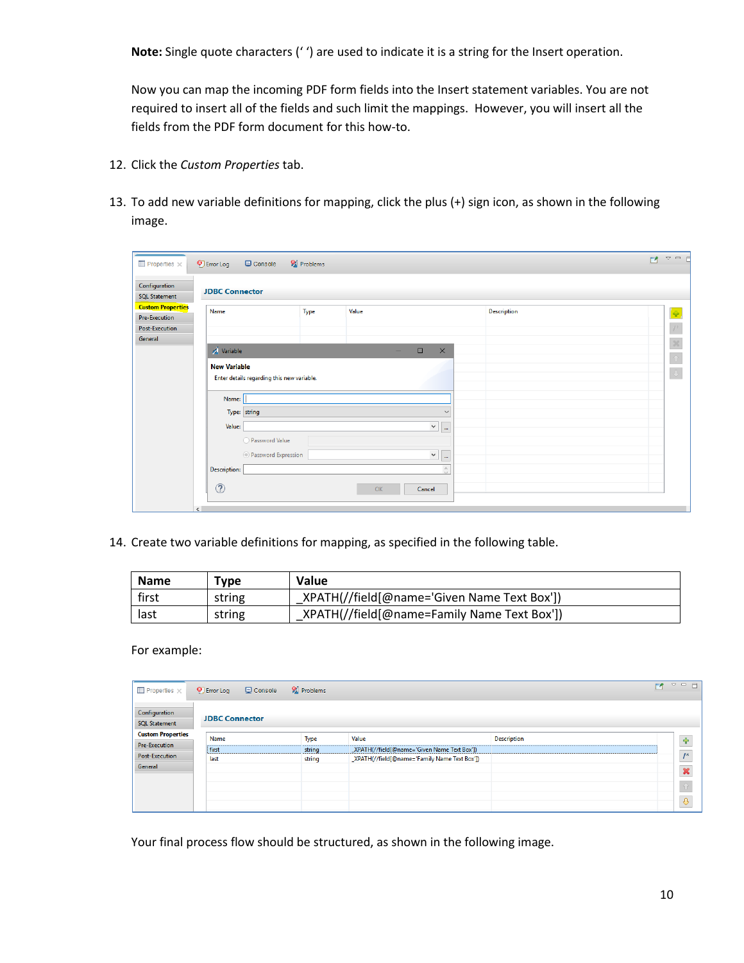**Note:** Single quote characters (' ') are used to indicate it is a string for the Insert operation.

Now you can map the incoming PDF form fields into the Insert statement variables. You are not required to insert all of the fields and such limit the mappings. However, you will insert all the fields from the PDF form document for this how-to.

- 12. Click the *Custom Properties* tab.
- 13. To add new variable definitions for mapping, click the plus (+) sign icon, as shown in the following image.

| $\blacksquare$ Properties $\times$                                            | <b>Problems</b><br>◎ Error Log □ Console                                                                     | $M = E$                       |
|-------------------------------------------------------------------------------|--------------------------------------------------------------------------------------------------------------|-------------------------------|
| Configuration<br><b>SQL Statement</b>                                         | <b>JDBC</b> Connector                                                                                        |                               |
| <b>Custom Properties</b><br>Pre-Execution<br><b>Post-Execution</b><br>General | Value<br><b>Description</b><br>Type<br>Name                                                                  | $\mathbf{e}_{\mathbf{B}}^{n}$ |
|                                                                               | Variable<br>$\Box$<br>$\times$                                                                               |                               |
|                                                                               | <b>New Variable</b><br>Enter details regarding this new variable.<br>Name:                                   |                               |
|                                                                               | Type: string<br>$\checkmark$<br>$\checkmark$<br>Value:<br>$\mathbf{L}$<br>O Password Value                   |                               |
|                                                                               | Ressword Expression<br>$\checkmark$<br>$_{\rm m}$<br>ô<br><b>Description:</b><br>$\circledR$<br>OK<br>Cancel |                               |
|                                                                               | $\checkmark$                                                                                                 |                               |

14. Create two variable definitions for mapping, as specified in the following table.

| <b>Name</b> | $T$ vpe | <b>Value</b>                                 |
|-------------|---------|----------------------------------------------|
| first       | string  | _XPATH(//field[@name='Given Name Text Box']) |
| last        | string  | XPATH(//field[@name=Family Name Text Box'])  |

For example:

| $\blacksquare$ Properties $\times$    | Console<br><sup>O</sup> Error Log | <b>Problems</b> |                                               |                    | $\triangledown$ = $\blacksquare$<br>- 2 |  |
|---------------------------------------|-----------------------------------|-----------------|-----------------------------------------------|--------------------|-----------------------------------------|--|
| Configuration<br><b>SOL Statement</b> | <b>JDBC Connector</b>             |                 |                                               |                    |                                         |  |
| <b>Custom Properties</b>              | Name                              | Type            | Value                                         | <b>Description</b> | ♣                                       |  |
| <b>Pre-Execution</b>                  | first                             | string          | XPATH(//field[@name='Given Name Text Box'])   |                    |                                         |  |
| <b>Post-Execution</b>                 | last                              | string          | _XPATH(//field[@name='Family Name Text Box']) |                    |                                         |  |
| General                               |                                   |                 |                                               |                    | $\sim$<br>$\overline{\phantom{a}}$      |  |
|                                       |                                   |                 |                                               |                    |                                         |  |
|                                       |                                   |                 |                                               |                    |                                         |  |
|                                       |                                   |                 |                                               |                    | $\ddot{\theta}$                         |  |

Your final process flow should be structured, as shown in the following image.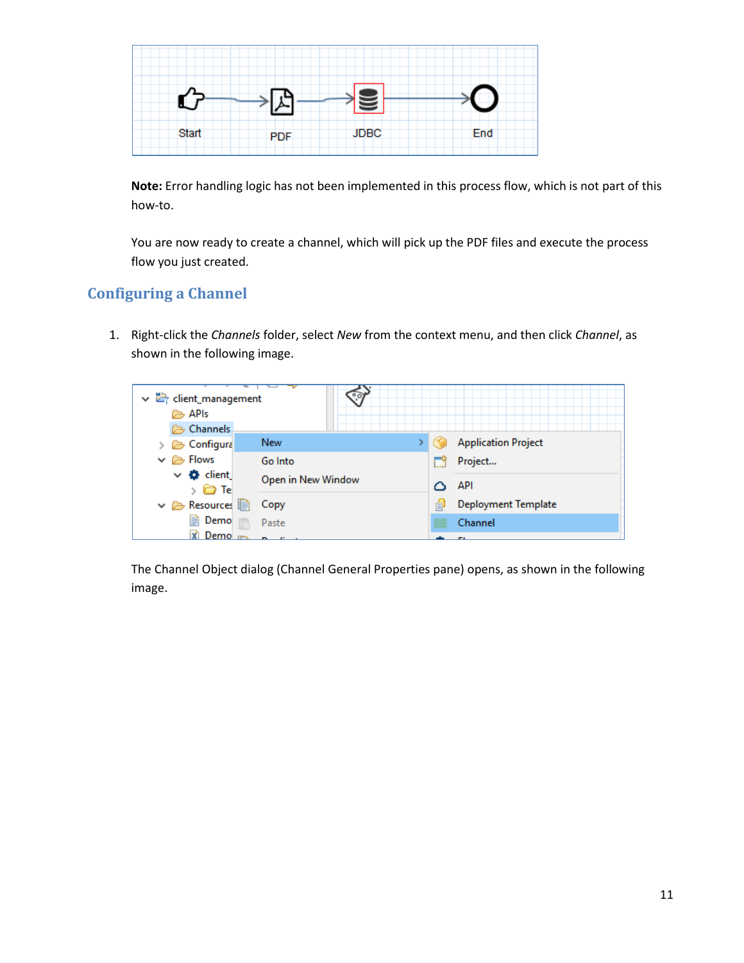

**Note:** Error handling logic has not been implemented in this process flow, which is not part of this how-to.

You are now ready to create a channel, which will pick up the PDF files and execute the process flow you just created.

## <span id="page-10-0"></span>**Configuring a Channel**

1. Right-click the *Channels* folder, select *New* from the context menu, and then click *Channel*, as shown in the following image.



The Channel Object dialog (Channel General Properties pane) opens, as shown in the following image.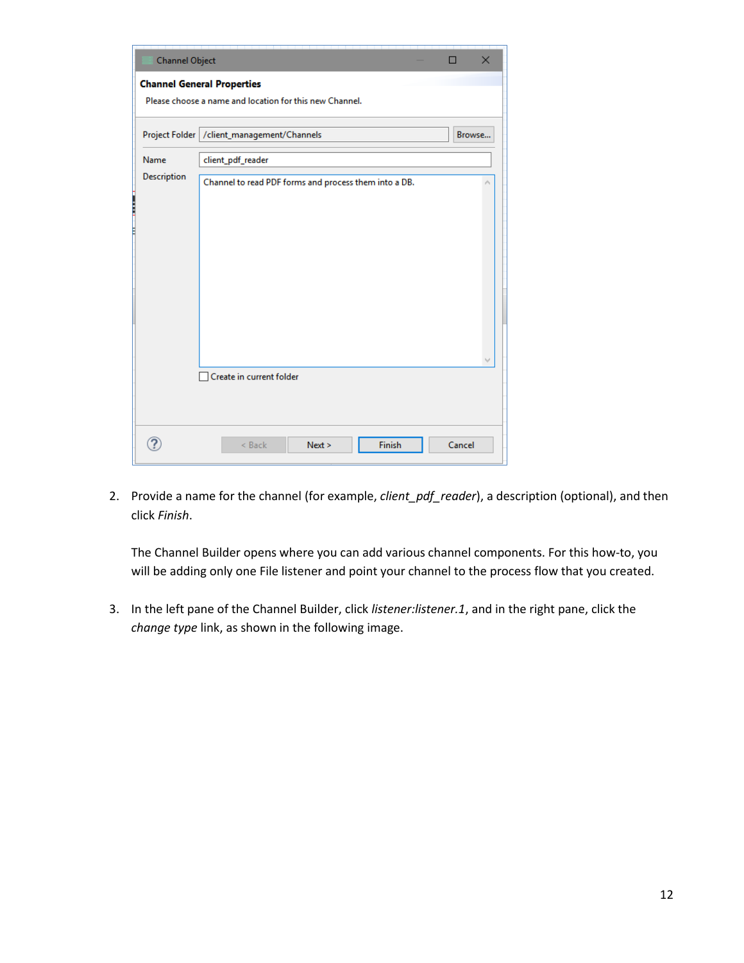| <b>Channel Object</b>                                                                                                         |                                                         | п      | $\times$ |
|-------------------------------------------------------------------------------------------------------------------------------|---------------------------------------------------------|--------|----------|
|                                                                                                                               | <b>Channel General Properties</b>                       |        |          |
|                                                                                                                               | Please choose a name and location for this new Channel. |        |          |
|                                                                                                                               | Project Folder   / client_management/Channels           | Browse |          |
| Name                                                                                                                          | client_pdf_reader                                       |        |          |
| Description                                                                                                                   | Channel to read PDF forms and process them into a DB.   |        |          |
| ֧֖֖֖֖֧֧֚֚֚֚֚֚֝֩֩֩֩֩֓֓֝֓ <u>֚֓</u><br>֧֧֧֖֖֧ׅ֖֧ׅ֧ׅ֧֧ׅ֧ׅ֖֧֧ׅ֖֧֧֧֪ׅׅ֧֪ׅ֧֧֧֧֧֧֧֧֧֧֚֚֚֚֚֚֚֚֚֚֚֚֩֩֩֩֩֓֘֩֩֓֘֝֬֘֩֩֩֩֘֩֘֩֘֩֘֩֘֩֘֩֩֩֩֩֩ |                                                         |        |          |
|                                                                                                                               |                                                         |        |          |
|                                                                                                                               |                                                         |        |          |
|                                                                                                                               |                                                         |        |          |
|                                                                                                                               |                                                         |        |          |
|                                                                                                                               |                                                         |        |          |
|                                                                                                                               |                                                         |        |          |
|                                                                                                                               |                                                         |        |          |
|                                                                                                                               | Create in current folder                                |        |          |
|                                                                                                                               |                                                         |        |          |
|                                                                                                                               |                                                         |        |          |
|                                                                                                                               | Finish<br>< Back<br>Next >                              | Cancel |          |
|                                                                                                                               |                                                         |        |          |

2. Provide a name for the channel (for example, *client\_pdf\_reader*), a description (optional), and then click *Finish*.

The Channel Builder opens where you can add various channel components. For this how-to, you will be adding only one File listener and point your channel to the process flow that you created.

3. In the left pane of the Channel Builder, click *listener:listener.1*, and in the right pane, click the *change type* link, as shown in the following image.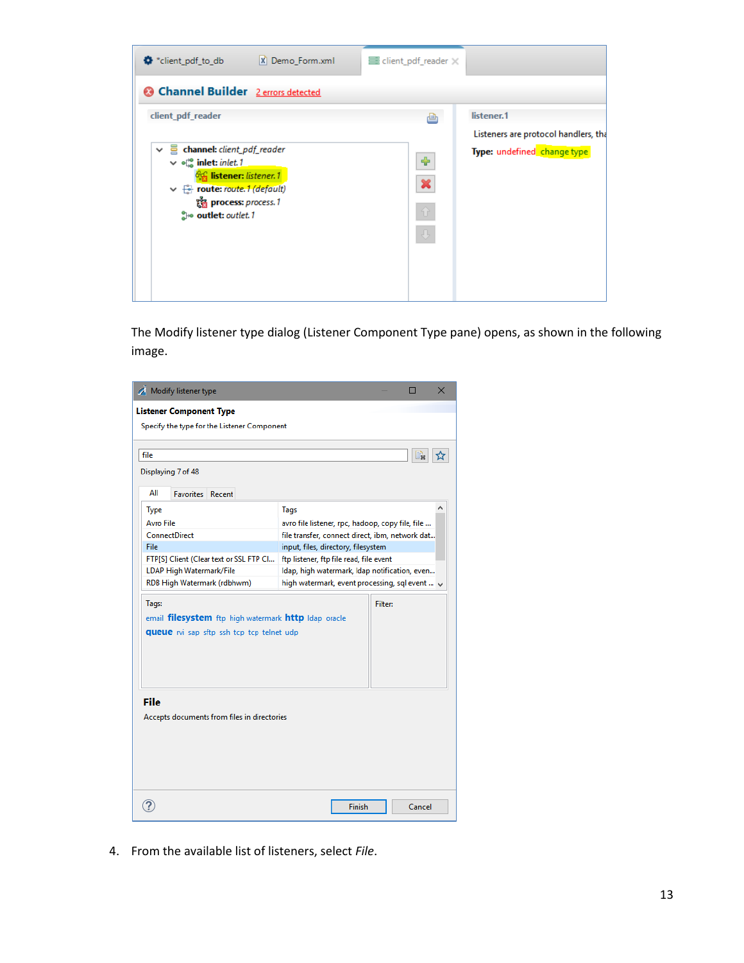

The Modify listener type dialog (Listener Component Type pane) opens, as shown in the following image.

|                      | Modify listener type                                                                              | П<br>×                                           |  |  |  |  |  |  |  |  |
|----------------------|---------------------------------------------------------------------------------------------------|--------------------------------------------------|--|--|--|--|--|--|--|--|
|                      | <b>Listener Component Type</b>                                                                    |                                                  |  |  |  |  |  |  |  |  |
|                      | Specify the type for the Listener Component                                                       |                                                  |  |  |  |  |  |  |  |  |
| file                 |                                                                                                   | Ex<br>ኢን                                         |  |  |  |  |  |  |  |  |
|                      | Displaying 7 of 48                                                                                |                                                  |  |  |  |  |  |  |  |  |
| ΑIΙ                  | <b>Favorites</b> Recent                                                                           |                                                  |  |  |  |  |  |  |  |  |
| Type                 |                                                                                                   | <b>Tags</b>                                      |  |  |  |  |  |  |  |  |
| <b>Avro File</b>     |                                                                                                   | avro file listener, rpc, hadoop, copy file, file |  |  |  |  |  |  |  |  |
|                      | <b>ConnectDirect</b>                                                                              | file transfer, connect direct, ibm, network dat  |  |  |  |  |  |  |  |  |
| File                 |                                                                                                   | input, files, directory, filesystem              |  |  |  |  |  |  |  |  |
|                      | FTP[S] Client (Clear text or SSL FTP Cl                                                           | ftp listener, ftp file read, file event          |  |  |  |  |  |  |  |  |
|                      | LDAP High Watermark/File                                                                          | Idap, high watermark, Idap notification, even    |  |  |  |  |  |  |  |  |
|                      | RDB High Watermark (rdbhwm)                                                                       | high watermark, event processing, sql event      |  |  |  |  |  |  |  |  |
| Tags:<br><b>File</b> | email filesystem ftp high watermark http Idap oracle<br>queue ivi sap sftp ssh tcp tcp telnet udp | <b>Filter:</b>                                   |  |  |  |  |  |  |  |  |
|                      | Accepts documents from files in directories                                                       | Finish<br>Cancel                                 |  |  |  |  |  |  |  |  |

4. From the available list of listeners, select *File*.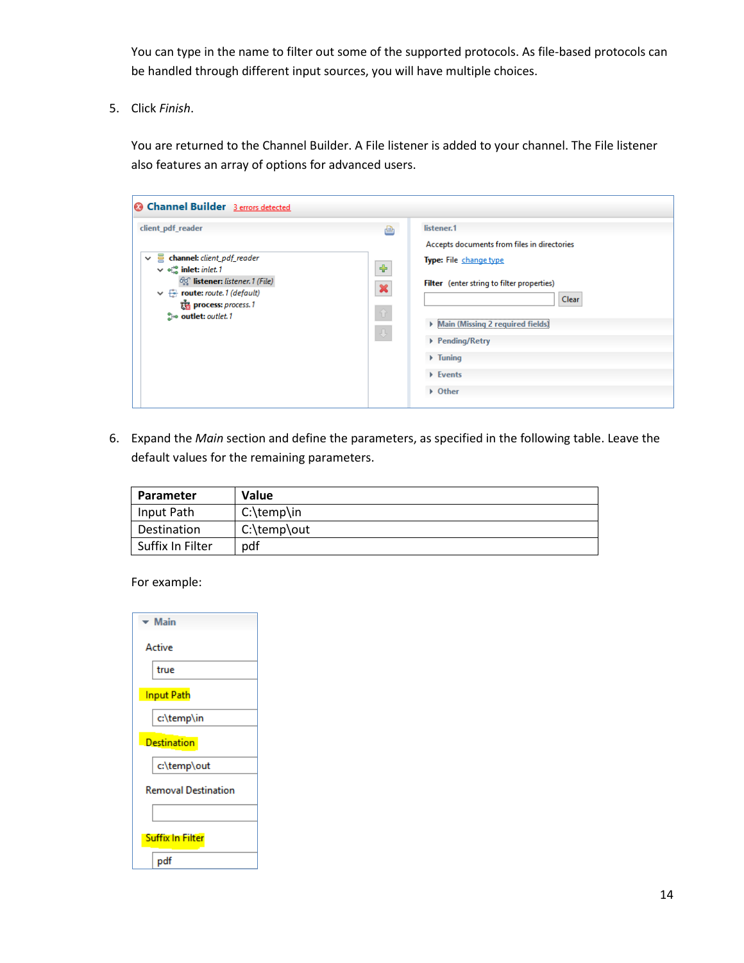You can type in the name to filter out some of the supported protocols. As file-based protocols can be handled through different input sources, you will have multiple choices.

5. Click *Finish*.

You are returned to the Channel Builder. A File listener is added to your channel. The File listener also features an array of options for advanced users.

| <b>@ Channel Builder</b> 3 errors detected                                                                                                                                                                                                                        |                                           |                                                                                                                                                                                                                                                                    |  |  |  |  |  |  |
|-------------------------------------------------------------------------------------------------------------------------------------------------------------------------------------------------------------------------------------------------------------------|-------------------------------------------|--------------------------------------------------------------------------------------------------------------------------------------------------------------------------------------------------------------------------------------------------------------------|--|--|--|--|--|--|
| client pdf reader<br>昌<br>channel: client_pdf_reader<br>$\checkmark$<br>$\vee$ of inlet: inlet. 1<br><sup>6</sup> <sup>o</sup> listener: listener. 1 (File)<br>$\vee$ $\leftarrow$ F route: route. 1 (default)<br>the process: process.1<br>She outlet: outlet. 1 | 画<br>⊕<br>×<br>$\Upsilon$<br>$\mathbb{G}$ | listener.1<br>Accepts documents from files in directories<br>Type: File change type<br>Filter (enter string to filter properties)<br>Clear<br>Main (Missing 2 required fields)<br>▶ Pending/Retry<br>$\triangleright$ Tuning<br>$\triangleright$ Events<br>D Other |  |  |  |  |  |  |
|                                                                                                                                                                                                                                                                   |                                           |                                                                                                                                                                                                                                                                    |  |  |  |  |  |  |

6. Expand the *Main* section and define the parameters, as specified in the following table. Leave the default values for the remaining parameters.

| <b>Parameter</b> | <b>Value</b> |
|------------------|--------------|
| Input Path       | $C:\temp\in$ |
| Destination      | C:\temp\out  |
| Suffix In Filter | pdf          |

For example:

| $\overline{\phantom{a}}$ Main |
|-------------------------------|
| Active                        |
| true                          |
| <b>Input Path</b>             |
| c:\temp\in                    |
| <b>Destination</b>            |
| c:\temp\out                   |
| <b>Removal Destination</b>    |
|                               |
| Suffix In Filter              |
| pdf                           |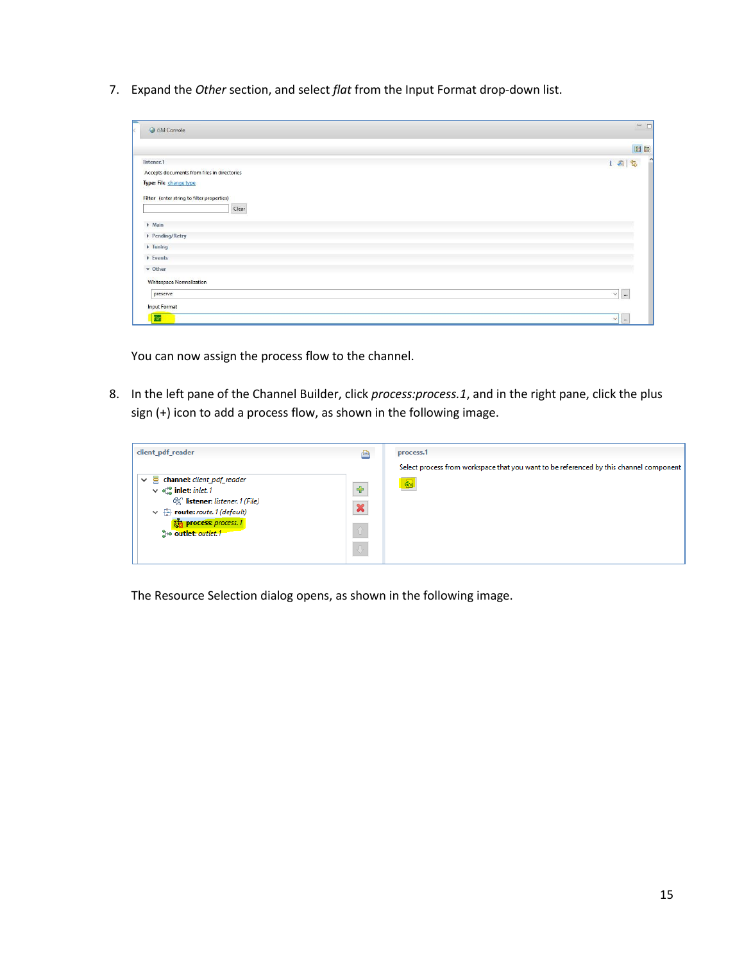7. Expand the *Other* section, and select *flat* from the Input Format drop-down list.

| iSM Console                                         | $\Box$                                   |
|-----------------------------------------------------|------------------------------------------|
|                                                     | 四日                                       |
| listener.1                                          | $\land$<br>ia                            |
| Accepts documents from files in directories         |                                          |
| Type: File change type                              |                                          |
| Filter (enter string to filter properties)<br>Clear |                                          |
| $\triangleright$ Main                               |                                          |
| ▶ Pending/Retry                                     |                                          |
| $\triangleright$ Tuning                             |                                          |
| ▶ Events                                            |                                          |
| v Other                                             |                                          |
| <b>Whitespace Normalization</b>                     |                                          |
| preserve                                            | $\overline{\phantom{a}}$<br>$\checkmark$ |
| <b>Input Format</b>                                 |                                          |
| flat                                                | $\vee$                                   |

You can now assign the process flow to the channel.

8. In the left pane of the Channel Builder, click *process:process.1*, and in the right pane, click the plus sign (+) icon to add a process flow, as shown in the following image.

| client_pdf_reader<br>틀<br>channel: client_pdf_reader<br>$\checkmark$<br>$\vee$ of inlet: inlet. 1<br>60 listener: listener. 1 (File)<br>$\vee \quad \stackrel{\leftarrow}{\longrightarrow}$ route: route. 1 (default)<br><b>The process:</b> process.1<br>SHe outlet: outlet. 1 | ₿<br>♣<br>$\boldsymbol{\mathsf{x}}$<br>$\hat{\mathbf{u}}$<br>$\mathbb{G}$ | process.1<br>Select process from workspace that you want to be referenced by this channel component<br>唇 |
|---------------------------------------------------------------------------------------------------------------------------------------------------------------------------------------------------------------------------------------------------------------------------------|---------------------------------------------------------------------------|----------------------------------------------------------------------------------------------------------|
|                                                                                                                                                                                                                                                                                 |                                                                           |                                                                                                          |

The Resource Selection dialog opens, as shown in the following image.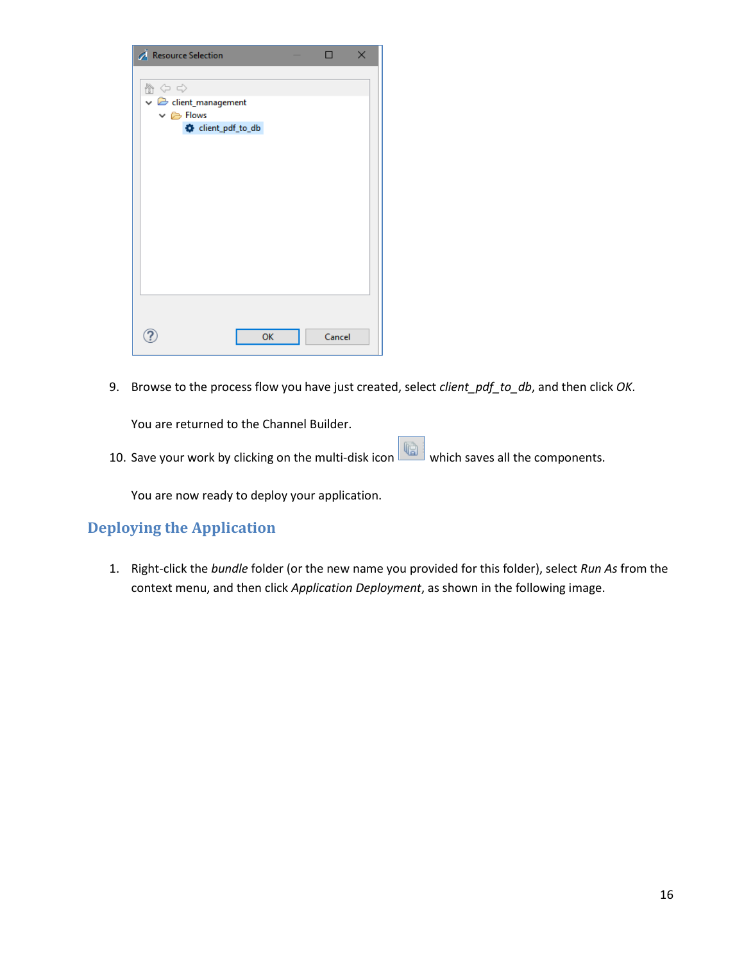| Resource Selection                                                                       |        | $\times$ |
|------------------------------------------------------------------------------------------|--------|----------|
| 会の合<br>$\checkmark$ client_management<br>$\vee \triangleright$ Flows<br>client_pdf_to_db |        |          |
| OK                                                                                       | Cancel |          |

9. Browse to the process flow you have just created, select *client\_pdf\_to\_db*, and then click *OK*.

You are returned to the Channel Builder.

10. Save your work by clicking on the multi-disk icon which saves all the components.

You are now ready to deploy your application.

#### <span id="page-15-0"></span>**Deploying the Application**

1. Right-click the *bundle* folder (or the new name you provided for this folder), select *Run As* from the context menu, and then click *Application Deployment*, as shown in the following image.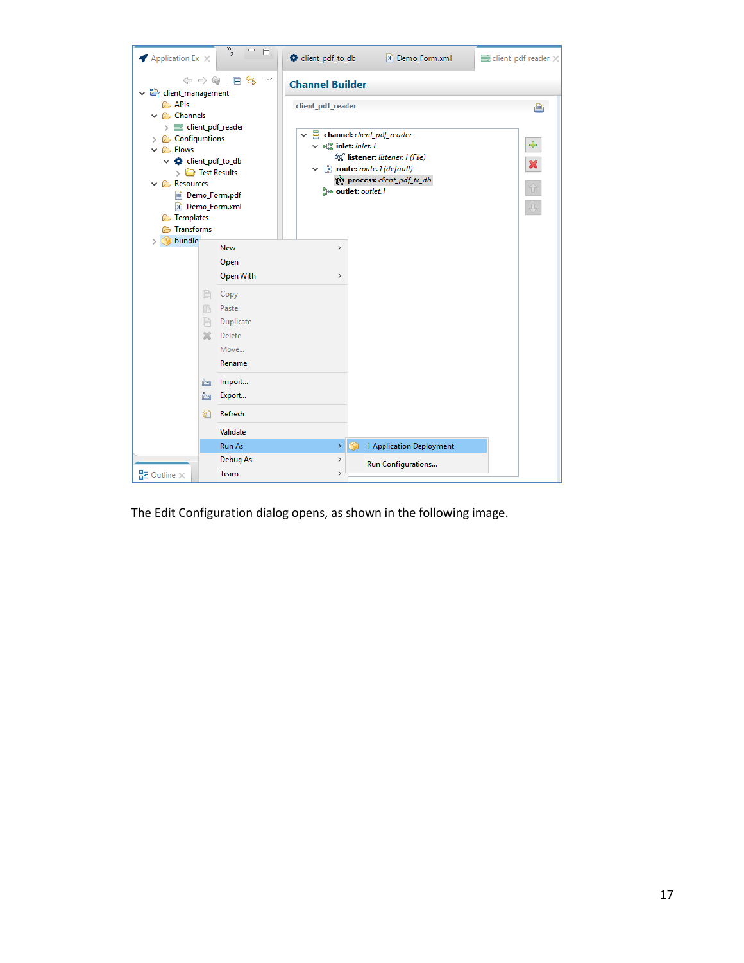| $\blacktriangle$ Application Ex $\times$                                                                                                                                                                                                                               |                                                    | $\overline{P_2}$<br>$\qquad \qquad =$<br>$\Box$                                                                                         | Client_pdf_to_db                                                         |                      | X Demo_Form.xml                                                                                                                                          | 量 client_pdf_reader ×                             |
|------------------------------------------------------------------------------------------------------------------------------------------------------------------------------------------------------------------------------------------------------------------------|----------------------------------------------------|-----------------------------------------------------------------------------------------------------------------------------------------|--------------------------------------------------------------------------|----------------------|----------------------------------------------------------------------------------------------------------------------------------------------------------|---------------------------------------------------|
| v alient_management<br><b>APIs</b><br>$\vee$ $\triangleright$ Channels<br>$\angle$ $\equiv$ client_pdf_reader<br>$\geq$ Configurations<br>$\vee$ $\triangleright$ Flows<br>v & client_pdf_to_db<br>$\vee \triangleright$ Resources<br>Femplates<br><b>E</b> Transforms | $\Leftrightarrow$ $\Leftrightarrow$ $\odot$        | $\overline{\phantom{0}}$<br>もんじょう なんじょう しょうしょう<br>F<br>$\triangleright$ $\blacksquare$ Test Results<br>Demo_Form.pdf<br>X Demo_Form.xml | <b>Channel Builder</b><br>client_pdf_reader<br>$\vee$ of inlet: inlet. 1 | She outlet: outlet.1 | channel: client_pdf_reader<br><sup>66</sup> listener: listener. 1 (File)<br>$\vee \bigoplus$ route: route. 1 (default)<br>१थुँ process: client_pdf_to_db | A<br>÷<br>$\boldsymbol{\mathsf{x}}$<br>$\bigcirc$ |
| bundle<br>> CO                                                                                                                                                                                                                                                         | le<br>f <sub>i</sub><br>P<br>$\chi$<br>心<br>凸<br>இ | New<br>Open<br>Open With<br>Copy<br>Paste<br>Duplicate<br>Delete<br>Move<br>Rename<br>Import<br>Export<br>Refresh<br>Validate           | $\,$<br>$\rightarrow$                                                    |                      |                                                                                                                                                          |                                                   |
|                                                                                                                                                                                                                                                                        |                                                    | <b>Run As</b>                                                                                                                           | ×                                                                        |                      | 1 Application Deployment                                                                                                                                 |                                                   |
| EE Outline $\times$                                                                                                                                                                                                                                                    |                                                    | Debug As<br><b>Team</b>                                                                                                                 | ><br>$\rightarrow$                                                       |                      | Run Configurations                                                                                                                                       |                                                   |

The Edit Configuration dialog opens, as shown in the following image.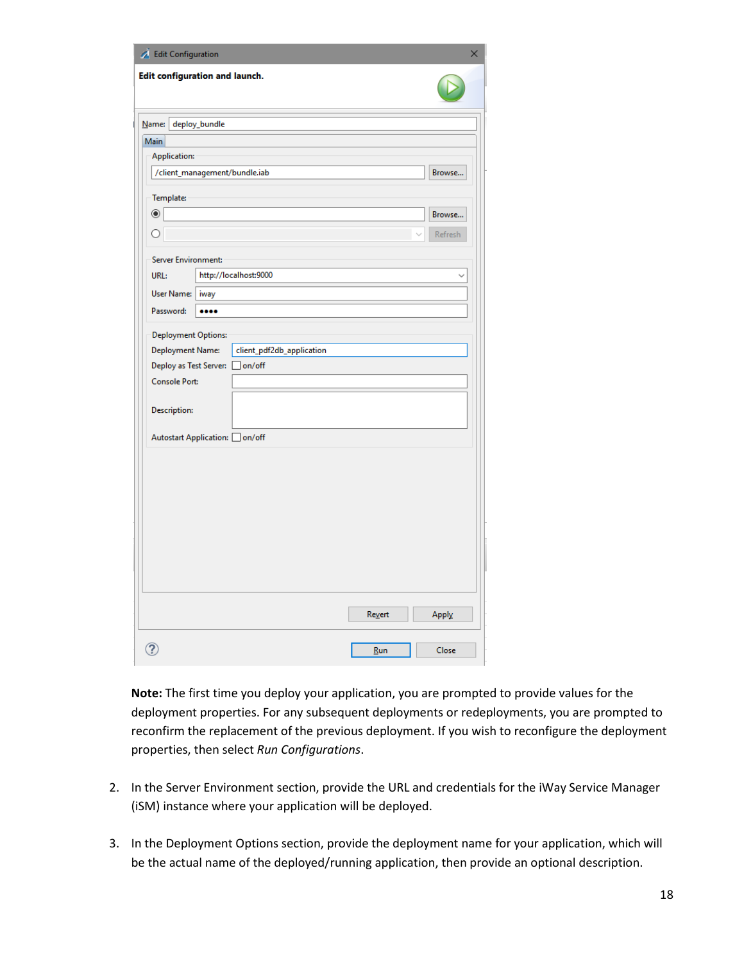| Edit Configuration             |               |                               | ×       |
|--------------------------------|---------------|-------------------------------|---------|
| Edit configuration and launch. |               |                               |         |
| $N$ ame:                       | deploy_bundle |                               |         |
| Main                           |               |                               |         |
| Application:                   |               |                               |         |
|                                |               | /client_management/bundle.iab | Browse  |
| Template:                      |               |                               |         |
| $\circledcirc$                 |               |                               | Browse  |
| О                              |               |                               | Refresh |
|                                |               |                               |         |
| <b>Server Environment:</b>     |               |                               |         |
| URL:                           |               | http://localhost:9000         |         |
| User Name:                     | iway          |                               |         |
| Password:                      |               |                               |         |
| <b>Deployment Options:</b>     |               |                               |         |
| Deployment Name:               |               | client_pdf2db_application     |         |
| Deploy as Test Server: on/off  |               |                               |         |
| Console Port:                  |               |                               |         |
| <b>Description:</b>            |               |                               |         |
|                                |               |                               |         |
| Autostart Application: On/off  |               |                               |         |
|                                |               |                               |         |
|                                |               |                               |         |
|                                |               |                               |         |
|                                |               |                               |         |
|                                |               |                               |         |
|                                |               |                               |         |
|                                |               |                               |         |
|                                |               |                               |         |
|                                |               |                               |         |
|                                |               | <b>Revert</b>                 | Apply   |
|                                |               |                               |         |
|                                |               | <b>Run</b>                    | Close   |

**Note:** The first time you deploy your application, you are prompted to provide values for the deployment properties. For any subsequent deployments or redeployments, you are prompted to reconfirm the replacement of the previous deployment. If you wish to reconfigure the deployment properties, then select *Run Configurations*.

- 2. In the Server Environment section, provide the URL and credentials for the iWay Service Manager (iSM) instance where your application will be deployed.
- 3. In the Deployment Options section, provide the deployment name for your application, which will be the actual name of the deployed/running application, then provide an optional description.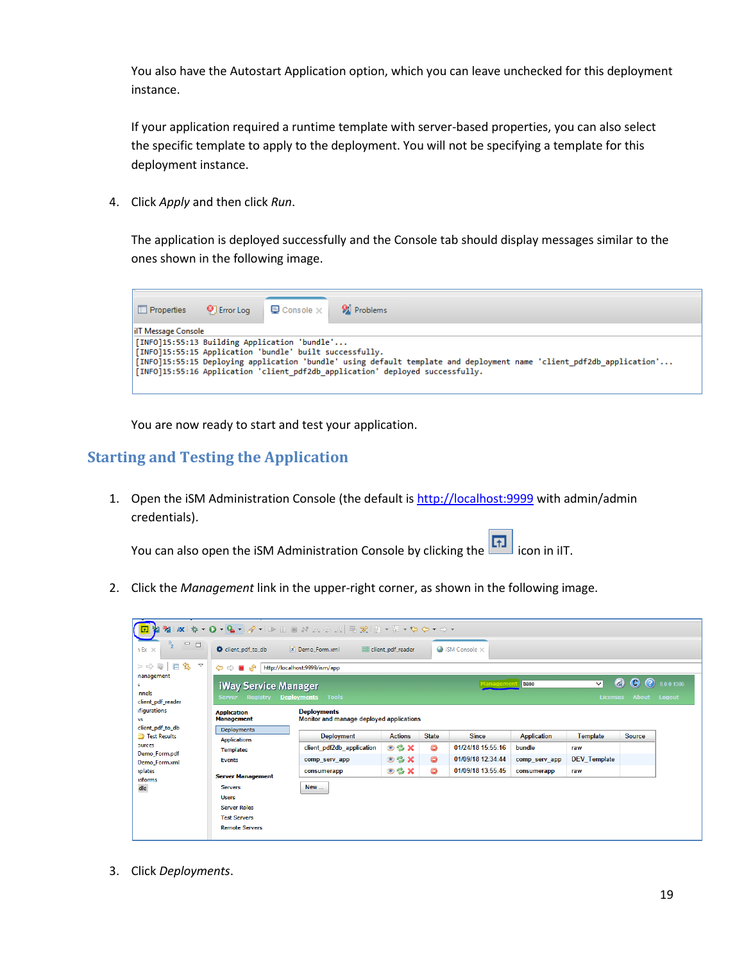You also have the Autostart Application option, which you can leave unchecked for this deployment instance.

If your application required a runtime template with server-based properties, you can also select the specific template to apply to the deployment. You will not be specifying a template for this deployment instance.

4. Click *Apply* and then click *Run*.

The application is deployed successfully and the Console tab should display messages similar to the ones shown in the following image.

| Froperties          | $\bigcirc$ Error Log                                                                                    | $\Box$ Console $\times$   $\Box$ Problems |                                                                                                                                                                                                       |
|---------------------|---------------------------------------------------------------------------------------------------------|-------------------------------------------|-------------------------------------------------------------------------------------------------------------------------------------------------------------------------------------------------------|
| ilT Message Console | [INFO]15:55:13 Building Application 'bundle'<br>[INFO]15:55:15 Application 'bundle' built successfully. |                                           | [INFO]15:55:15 Deploying application 'bundle' using default template and deployment name 'client pdf2db application'<br>[INFO]15:55:16 Application 'client pdf2db application' deployed successfully. |

You are now ready to start and test your application.

#### <span id="page-18-0"></span>**Starting and Testing the Application**

1. Open the iSM Administration Console (the default is [http://localhost:9999](http://localhost:9999/) with admin/admin credentials).

You can also open the iSM Administration Console by clicking the italicon in iIT.

2. Click the *Management* link in the upper-right corner, as shown in the following image.

| % 次: ※▼ ◎▼ ◎▼ ※▼ ③ Ⅲ Ⅲ Ⅲ № № ∞ №   夷変: 図▼图▼や々▼☆▼                     |                                                                                                                                                                                                                                  |                                                                |                    |               |                   |                    |                     |               |  |  |  |
|----------------------------------------------------------------------|----------------------------------------------------------------------------------------------------------------------------------------------------------------------------------------------------------------------------------|----------------------------------------------------------------|--------------------|---------------|-------------------|--------------------|---------------------|---------------|--|--|--|
| $\mathbb{Z}_{2}$<br>$\qquad \qquad \Box$<br>$1 \,\mathrm{Ex} \times$ | client pdf to db<br>X Demo_Form.xml<br>client_pdf_reader<br>$\bigcirc$ iSM Console $\times$                                                                                                                                      |                                                                |                    |               |                   |                    |                     |               |  |  |  |
| 日写 マ<br>6<br>$\Rightarrow$ $\Rightarrow$                             | $\mathcal{L} \Rightarrow \blacksquare \mathcal{L}$                                                                                                                                                                               | http://localhost:9999/ism/app                                  |                    |               |                   |                    |                     |               |  |  |  |
| nanagement<br>nnels<br>client_pdf_reader                             | $\circ$<br>$\bullet$<br>(2)<br>8.0.0.1306<br>base<br>◡<br><b>Managemen</b><br><b>iWay Service Manager</b><br><b>Tools</b><br><b>Deployments</b><br><b>Registry</b><br><b>Licenses</b><br><b>About</b><br>Logout<br><b>Server</b> |                                                                |                    |               |                   |                    |                     |               |  |  |  |
| <b>ifiqurations</b><br><b>VS</b><br>client_pdf_to_db                 | <b>Application</b><br><b>Management</b>                                                                                                                                                                                          | <b>Deployments</b><br>Monitor and manage deployed applications |                    |               |                   |                    |                     |               |  |  |  |
| Test Results                                                         | <b>Deployments</b><br><b>Applications</b><br><b>Templates</b><br><b>Events</b>                                                                                                                                                   | <b>Deployment</b>                                              | <b>Actions</b>     | <b>State</b>  | <b>Since</b>      | <b>Application</b> | <b>Template</b>     | <b>Source</b> |  |  |  |
| <b>Durces</b>                                                        |                                                                                                                                                                                                                                  | client pdf2db application                                      | $\odot$ % $\times$ | $\bm{\Theta}$ | 01/24/18 15:55:16 | bundle             | raw                 |               |  |  |  |
| Demo Form.pdf<br>Demo_Form.xml                                       |                                                                                                                                                                                                                                  | comp serv app                                                  | $\odot$ % $\times$ | $\bullet$     | 01/09/18 12:34:44 | comp serv app      | <b>DEV Template</b> |               |  |  |  |
| <i><b>nplates</b></i>                                                |                                                                                                                                                                                                                                  | consumerapp                                                    | $\odot$ % $\times$ | $\bullet$     | 01/09/18 13:55:45 | consumerapp        | raw                 |               |  |  |  |
| <b>isforms</b><br>dle                                                | <b>Server Management</b><br><b>Servers</b><br><b>Users</b><br><b>Server Roles</b><br><b>Test Servers</b><br><b>Remote Servers</b>                                                                                                | <b>New</b>                                                     |                    |               |                   |                    |                     |               |  |  |  |

3. Click *Deployments*.